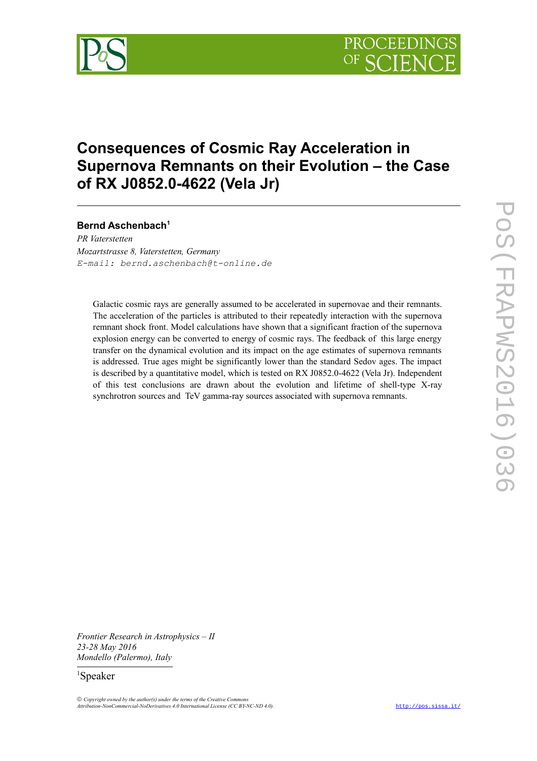

# **Consequences of Cosmic Ray Acceleration in Supernova Remnants on their Evolution – the Case of RX J0852.0-4622 (Vela Jr)**

# **Bernd Aschenbach[1](#page-0-0)**

*PR Vaterstetten Mozartstrasse 8, Vaterstetten, Germany E-mail: bernd.aschenbach@t-online.de*

Galactic cosmic rays are generally assumed to be accelerated in supernovae and their remnants. The acceleration of the particles is attributed to their repeatedly interaction with the supernova remnant shock front. Model calculations have shown that a significant fraction of the supernova explosion energy can be converted to energy of cosmic rays. The feedback of this large energy transfer on the dynamical evolution and its impact on the age estimates of supernova remnants is addressed. True ages might be significantly lower than the standard Sedov ages. The impact is described by a quantitative model, which is tested on RX J0852.0-4622 (Vela Jr). Independent of this test conclusions are drawn about the evolution and lifetime of shell-type X-ray synchrotron sources and TeV gamma-ray sources associated with supernova remnants.

*Frontier Research in Astrophysics – II 23-28 May 2016 Mondello (Palermo), Italy*

# <span id="page-0-0"></span><sup>1</sup>Speaker

 *Copyright owned by the author(s) under the terms of the Creative Commons Attribution-NonCommercial-NoDerivatives 4.0 International License (CC BY-NC-ND 4.0).* <http://pos.sissa.it/>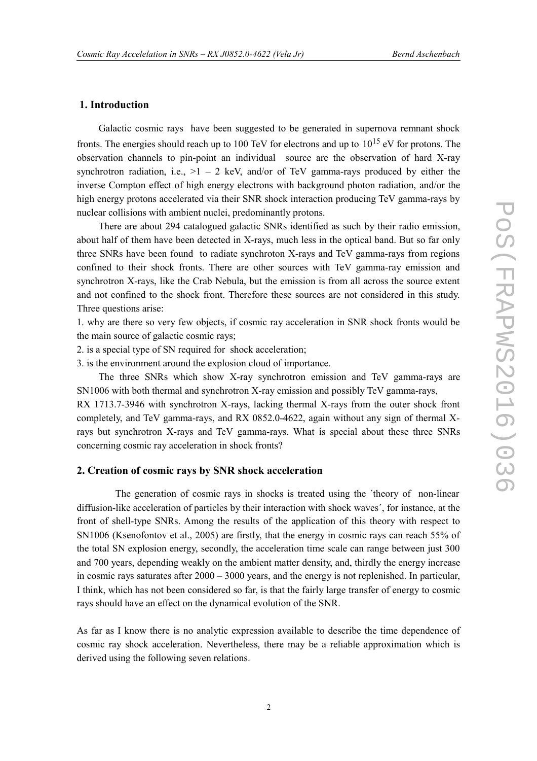# **1. Introduction**

Galactic cosmic rays have been suggested to be generated in supernova remnant shock fronts. The energies should reach up to 100 TeV for electrons and up to  $10^{15}$  eV for protons. The observation channels to pin-point an individual source are the observation of hard X-ray synchrotron radiation, i.e.,  $>1 - 2$  keV, and/or of TeV gamma-rays produced by either the inverse Compton effect of high energy electrons with background photon radiation, and/or the high energy protons accelerated via their SNR shock interaction producing TeV gamma-rays by nuclear collisions with ambient nuclei, predominantly protons.

There are about 294 catalogued galactic SNRs identified as such by their radio emission, about half of them have been detected in X-rays, much less in the optical band. But so far only three SNRs have been found to radiate synchroton X-rays and TeV gamma-rays from regions confined to their shock fronts. There are other sources with TeV gamma-ray emission and synchrotron X-rays, like the Crab Nebula, but the emission is from all across the source extent and not confined to the shock front. Therefore these sources are not considered in this study. Three questions arise:

1. why are there so very few objects, if cosmic ray acceleration in SNR shock fronts would be the main source of galactic cosmic rays;

2. is a special type of SN required for shock acceleration;

3. is the environment around the explosion cloud of importance.

The three SNRs which show X-ray synchrotron emission and TeV gamma-rays are SN1006 with both thermal and synchrotron X-ray emission and possibly TeV gamma-rays,

RX 1713.7-3946 with synchrotron X-rays, lacking thermal X-rays from the outer shock front completely, and TeV gamma-rays, and RX 0852.0-4622, again without any sign of thermal Xrays but synchrotron X-rays and TeV gamma-rays. What is special about these three SNRs concerning cosmic ray acceleration in shock fronts?

#### **2. Creation of cosmic rays by SNR shock acceleration**

 The generation of cosmic rays in shocks is treated using the ´theory of non-linear diffusion-like acceleration of particles by their interaction with shock waves´, for instance, at the front of shell-type SNRs. Among the results of the application of this theory with respect to SN1006 (Ksenofontov et al., 2005) are firstly, that the energy in cosmic rays can reach 55% of the total SN explosion energy, secondly, the acceleration time scale can range between just 300 and 700 years, depending weakly on the ambient matter density, and, thirdly the energy increase in cosmic rays saturates after 2000 – 3000 years, and the energy is not replenished. In particular, I think, which has not been considered so far, is that the fairly large transfer of energy to cosmic rays should have an effect on the dynamical evolution of the SNR.

As far as I know there is no analytic expression available to describe the time dependence of cosmic ray shock acceleration. Nevertheless, there may be a reliable approximation which is derived using the following seven relations.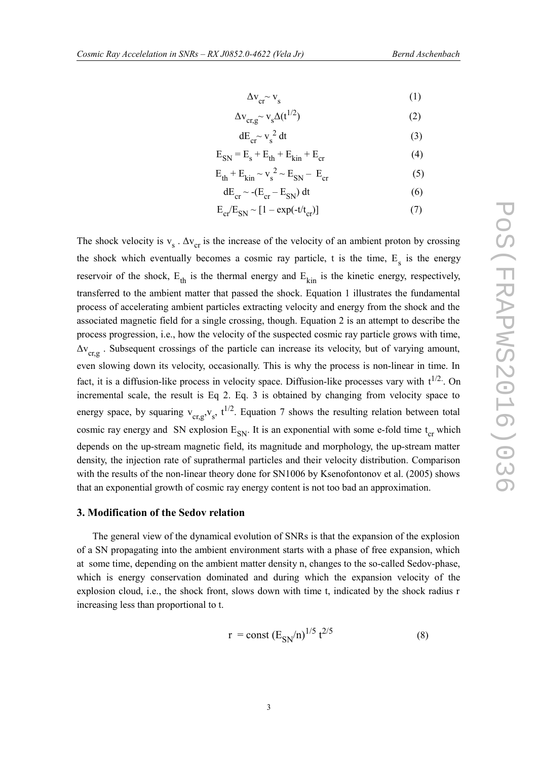$$
\Delta \mathbf{v}_{\rm cr} \sim \mathbf{v}_{\rm s} \tag{1}
$$

$$
\Delta \mathbf{v}_{\rm cr,g} \sim \mathbf{v}_s \Delta(\mathbf{t}^{1/2})
$$
 (2)

$$
dE_{cr} \sim v_s^2 dt \tag{3}
$$

$$
E_{SN} = E_s + E_{th} + E_{kin} + E_{cr}
$$
 (4)

$$
E_{th} + E_{kin} \sim v_s^2 \sim E_{SN} - E_{cr}
$$
 (5)

$$
dE_{cr} \sim -(E_{cr} - E_{SN}) dt
$$
 (6)

$$
E_{cr}/E_{SN} \sim [1 - \exp(-t/t_{cr})]
$$
\n(7)

The shock velocity is  $v_s \cdot \Delta v_{cr}$  is the increase of the velocity of an ambient proton by crossing the shock which eventually becomes a cosmic ray particle, t is the time,  $E_s$  is the energy reservoir of the shock,  $E_{th}$  is the thermal energy and  $E_{kin}$  is the kinetic energy, respectively, transferred to the ambient matter that passed the shock. Equation 1 illustrates the fundamental process of accelerating ambient particles extracting velocity and energy from the shock and the associated magnetic field for a single crossing, though. Equation 2 is an attempt to describe the process progression, i.e., how the velocity of the suspected cosmic ray particle grows with time,  $\Delta v_{\text{cr},g}$ . Subsequent crossings of the particle can increase its velocity, but of varying amount, even slowing down its velocity, occasionally. This is why the process is non-linear in time. In fact, it is a diffusion-like process in velocity space. Diffusion-like processes vary with  $t^{1/2}$ . On incremental scale, the result is Eq 2. Eq. 3 is obtained by changing from velocity space to energy space, by squaring  $v_{cr,g}$ ,  $v_s$ ,  $t^{1/2}$ . Equation 7 shows the resulting relation between total cosmic ray energy and SN explosion  $E_{SN}$ . It is an exponential with some e-fold time  $t_{cr}$  which depends on the up-stream magnetic field, its magnitude and morphology, the up-stream matter density, the injection rate of suprathermal particles and their velocity distribution. Comparison with the results of the non-linear theory done for SN1006 by Ksenofontonov et al. (2005) shows that an exponential growth of cosmic ray energy content is not too bad an approximation.

#### **3. Modification of the Sedov relation**

 The general view of the dynamical evolution of SNRs is that the expansion of the explosion of a SN propagating into the ambient environment starts with a phase of free expansion, which at some time, depending on the ambient matter density n, changes to the so-called Sedov-phase, which is energy conservation dominated and during which the expansion velocity of the explosion cloud, i.e., the shock front, slows down with time t, indicated by the shock radius r increasing less than proportional to t.

$$
r = const (E_{SN}/n)^{1/5} t^{2/5}
$$
 (8)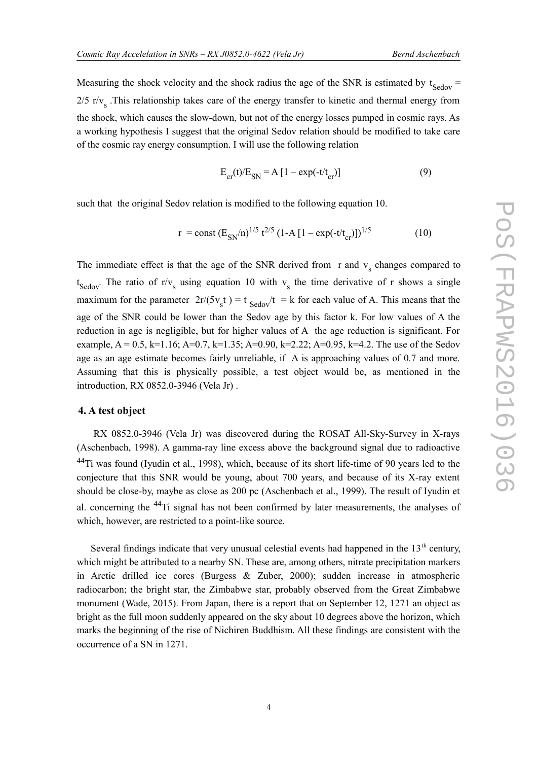Measuring the shock velocity and the shock radius the age of the SNR is estimated by  $t_{\text{Sedov}} =$  $2/5$  r/ $v<sub>s</sub>$ . This relationship takes care of the energy transfer to kinetic and thermal energy from the shock, which causes the slow-down, but not of the energy losses pumped in cosmic rays. As a working hypothesis I suggest that the original Sedov relation should be modified to take care of the cosmic ray energy consumption. I will use the following relation

$$
E_{cr}(t)/E_{SN} = A \left[1 - \exp(-t/t_{cr})\right] \tag{9}
$$

such that the original Sedov relation is modified to the following equation 10.

$$
r = const (E_{SN}/n)^{1/5} t^{2/5} (1 - A [1 - exp(-t/t_{cr})])^{1/5}
$$
 (10)

The immediate effect is that the age of the SNR derived from  $r$  and  $v<sub>s</sub>$  changes compared to  $t_{Sedov}$ . The ratio of r/v<sub>s</sub> using equation 10 with v<sub>s</sub> the time derivative of r shows a single maximum for the parameter  $2r/(5v_s t) = t$  Sedov $/t = k$  for each value of A. This means that the age of the SNR could be lower than the Sedov age by this factor k. For low values of A the reduction in age is negligible, but for higher values of A the age reduction is significant. For example,  $A = 0.5$ ,  $k=1.16$ ;  $A=0.7$ ,  $k=1.35$ ;  $A=0.90$ ,  $k=2.22$ ;  $A=0.95$ ,  $k=4.2$ . The use of the Sedov age as an age estimate becomes fairly unreliable, if A is approaching values of 0.7 and more. Assuming that this is physically possible, a test object would be, as mentioned in the introduction, RX 0852.0-3946 (Vela Jr) .

### **4. A test object**

 RX 0852.0-3946 (Vela Jr) was discovered during the ROSAT All-Sky-Survey in X-rays (Aschenbach, 1998). A gamma-ray line excess above the background signal due to radioactive <sup>44</sup>Ti was found (Iyudin et al., 1998), which, because of its short life-time of 90 years led to the conjecture that this SNR would be young, about 700 years, and because of its X-ray extent should be close-by, maybe as close as 200 pc (Aschenbach et al., 1999). The result of Iyudin et al. concerning the 44Ti signal has not been confirmed by later measurements, the analyses of which, however, are restricted to a point-like source.

Several findings indicate that very unusual celestial events had happened in the  $13<sup>th</sup>$  century, which might be attributed to a nearby SN. These are, among others, nitrate precipitation markers in Arctic drilled ice cores (Burgess & Zuber, 2000); sudden increase in atmospheric radiocarbon; the bright star, the Zimbabwe star, probably observed from the Great Zimbabwe monument (Wade, 2015). From Japan, there is a report that on September 12, 1271 an object as bright as the full moon suddenly appeared on the sky about 10 degrees above the horizon, which marks the beginning of the rise of Nichiren Buddhism. All these findings are consistent with the occurrence of a SN in 1271.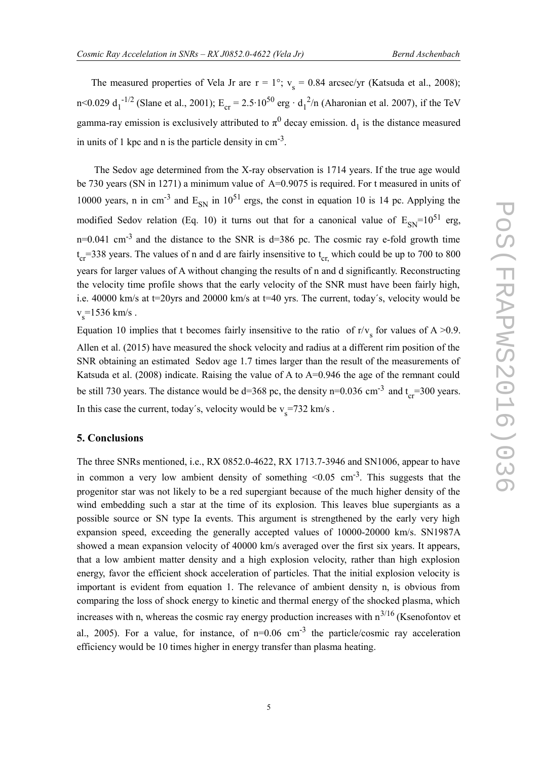The measured properties of Vela Jr are  $r = 1^{\circ}$ ;  $v_s = 0.84$  arcsec/yr (Katsuda et al., 2008); n<0.029 d<sub>1</sub><sup>-1/2</sup> (Slane et al., 2001); E<sub>cr</sub> = 2.5⋅10<sup>50</sup> erg ⋅ d<sub>1</sub><sup>2</sup>/n (Aharonian et al. 2007), if the TeV gamma-ray emission is exclusively attributed to  $\pi^0$  decay emission.  $d_1$  is the distance measured in units of 1 kpc and n is the particle density in  $cm<sup>-3</sup>$ .

 The Sedov age determined from the X-ray observation is 1714 years. If the true age would be 730 years (SN in 1271) a minimum value of A=0.9075 is required. For t measured in units of 10000 years, n in cm<sup>-3</sup> and  $E_{SN}$  in 10<sup>51</sup> ergs, the const in equation 10 is 14 pc. Applying the modified Sedov relation (Eq. 10) it turns out that for a canonical value of  $E_{SN}=10^{51}$  erg,  $n=0.041$  cm<sup>-3</sup> and the distance to the SNR is d=386 pc. The cosmic ray e-fold growth time  $t_{cr}$ =338 years. The values of n and d are fairly insensitive to  $t_{cr}$ , which could be up to 700 to 800 years for larger values of A without changing the results of n and d significantly. Reconstructing the velocity time profile shows that the early velocity of the SNR must have been fairly high, i.e. 40000 km/s at t=20yrs and 20000 km/s at t=40 yrs. The current, today´s, velocity would be  $v_s$ =1536 km/s.

Equation 10 implies that t becomes fairly insensitive to the ratio of  $r/v_s$  for values of A >0.9. Allen et al. (2015) have measured the shock velocity and radius at a different rim position of the SNR obtaining an estimated Sedov age 1.7 times larger than the result of the measurements of Katsuda et al. (2008) indicate. Raising the value of A to A=0.946 the age of the remnant could be still 730 years. The distance would be  $d=368$  pc, the density n=0.036 cm<sup>-3</sup> and  $t_{cr}$ =300 years. In this case the current, today's, velocity would be  $v_s$ =732 km/s.

#### **5. Conclusions**

The three SNRs mentioned, i.e., RX 0852.0-4622, RX 1713.7-3946 and SN1006, appear to have in common a very low ambient density of something  $\leq 0.05$  cm<sup>-3</sup>. This suggests that the progenitor star was not likely to be a red supergiant because of the much higher density of the wind embedding such a star at the time of its explosion. This leaves blue supergiants as a possible source or SN type Ia events. This argument is strengthened by the early very high expansion speed, exceeding the generally accepted values of 10000-20000 km/s. SN1987A showed a mean expansion velocity of 40000 km/s averaged over the first six years. It appears, that a low ambient matter density and a high explosion velocity, rather than high explosion energy, favor the efficient shock acceleration of particles. That the initial explosion velocity is important is evident from equation 1. The relevance of ambient density n, is obvious from comparing the loss of shock energy to kinetic and thermal energy of the shocked plasma, which increases with n, whereas the cosmic ray energy production increases with  $n^{3/16}$  (Ksenofontov et al., 2005). For a value, for instance, of  $n=0.06$  cm<sup>-3</sup> the particle/cosmic ray acceleration efficiency would be 10 times higher in energy transfer than plasma heating.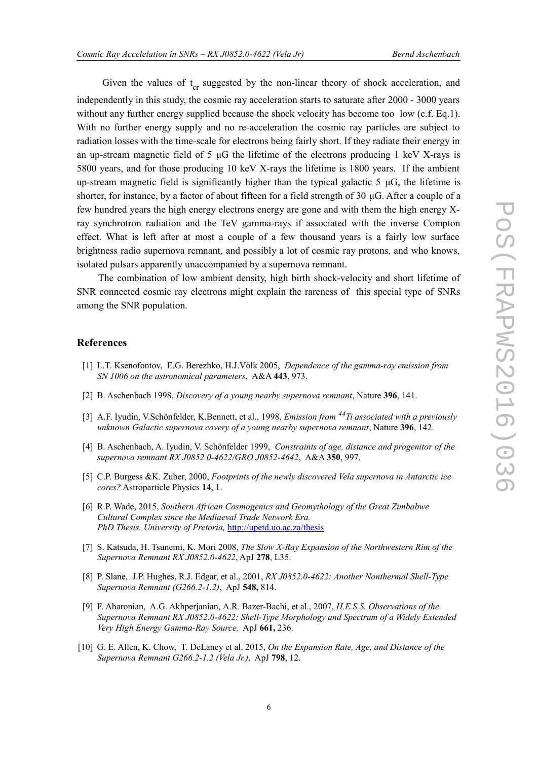Given the values of  $t_{cr}$  suggested by the non-linear theory of shock acceleration, and independently in this study, the cosmic ray acceleration starts to saturate after 2000 - 3000 years without any further energy supplied because the shock velocity has become too low (c.f. Eq.1). With no further energy supply and no re-acceleration the cosmic ray particles are subject to radiation losses with the time-scale for electrons being fairly short. If they radiate their energy in an up-stream magnetic field of 5 μG the lifetime of the electrons producing 1 keV X-rays is 5800 years, and for those producing 10 keV X-rays the lifetime is 1800 years. If the ambient up-stream magnetic field is significantly higher than the typical galactic 5  $\mu$ G, the lifetime is shorter, for instance, by a factor of about fifteen for a field strength of 30 μG. After a couple of a few hundred years the high energy electrons energy are gone and with them the high energy Xray synchrotron radiation and the TeV gamma-rays if associated with the inverse Compton effect. What is left after at most a couple of a few thousand years is a fairly low surface brightness radio supernova remnant, and possibly a lot of cosmic ray protons, and who knows, isolated pulsars apparently unaccompanied by a supernova remnant.

 The combination of low ambient density, high birth shock-velocity and short lifetime of SNR connected cosmic ray electrons might explain the rareness of this special type of SNRs among the SNR population.

### **References**

- [1] L.T. Ksenofontov, E.G. Berezhko, H.J.Völk 2005, *Dependence of the gamma-ray emission from SN 1006 on the astronomical parameters*, A&A **443**, 973.
- [2] B. Aschenbach 1998, *Discovery of a young nearby supernova remnant*, Nature **396**, 141.
- [3] A.F. Iyudin, V.Schönfelder, K.Bennett, et al., 1998, *Emission from 44Ti associated with a previously unknown Galactic supernova covery of a young nearby supernova remnant*, Nature **396**, 142.
- [4] B. Aschenbach, A. Iyudin, V. Schönfelder 1999, *Constraints of age, distance and progenitor of the supernova remnant RX J0852.0-4622/GRO J0852-4642*, A&A **350**, 997.
- [5] C.P. Burgess &K. Zuber, 2000, *Footprints of the newly discovered Vela supernova in Antarctic ice cores?* Astroparticle Physics **14**, 1.
- [6] R.P. Wade, 2015, *Southern African Cosmogenics and Geomythology of the Great Zimbabwe Cultural Complex since the Mediaeval Trade Network Era. PhD Thesis. University of Pretoria,* <http://upetd.uo.ac.za/thesis>
- [7] S. Katsuda, H. Tsunemi, K. Mori 2008, *The Slow X-Ray Expansion of the Northwestern Rim of the Supernova Remnant RX J0852.0-4622*, ApJ **278**, L35.
- [8] P. Slane, J.P. Hughes, R.J. Edgar, et al., 2001, *RX J0852.0-4622: Another Nonthermal Shell-Type Supernova Remnant (G266.2-1.2)*, ApJ **548,** 814.
- [9] F. Aharonian, A.G. Akhperjanian, A.R. Bazer-Bachi, et al., 2007, *H.E.S.S. Observations of the Supernova Remnant RX J0852.0-4622: Shell-Type Morphology and Spectrum of a Widely Extended Very High Energy Gamma-Ray Source,* ApJ **661,** 236.
- [10] G. E. Allen, K. Chow, T. DeLaney et al. 2015, *On the Expansion Rate, Age, and Distance of the Supernova Remnant G266.2-1.2 (Vela Jr.)*, ApJ **798**, 12.